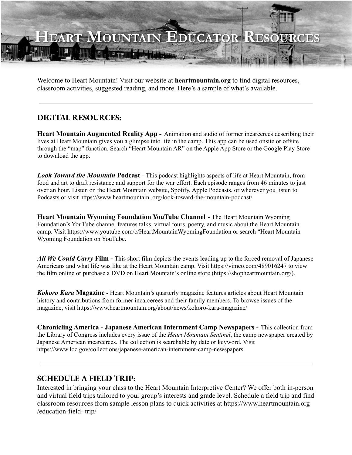

Welcome to Heart Mountain! Visit our website at **heartmountain.org** to find digital resources, classroom activities, suggested reading, and more. Here's a sample of what's available.

## **DIGITAL RESOURCES:**

**Heart Mountain Augmented Reality App -** Animation and audio of former incarcerees describing their lives at Heart Mountain gives you a glimpse into life in the camp. This app can be used onsite or offsite through the "map" function. Search "Heart Mountain AR" on the Apple App Store or the Google Play Store to download the app.

*Look Toward the Mountain* **Podcast** - This podcast highlights aspects of life at Heart Mountain, from food and art to draft resistance and support for the war effort. Each episode ranges from 46 minutes to just over an hour. Listen on the Heart Mountain website, Spotify, Apple Podcasts, or wherever you listen to Podcasts or visit https://www.heartmountain .org/look-toward-the-mountain-podcast/

**Heart Mountain Wyoming Foundation YouTube Channel** - The Heart Mountain Wyoming Foundation's YouTube channel features talks, virtual tours, poetry, and music about the Heart Mountain camp. Visit https://www.youtube.com/c/HeartMountainWyomingFoundation or search "Heart Mountain Wyoming Foundation on YouTube.

*All We Could Carry* **Film -** This short film depicts the events leading up to the forced removal of Japanese Americans and what life was like at the Heart Mountain camp. Visit https://vimeo.com/489016247 to view the film online or purchase a DVD on Heart Mountain's online store (https://shopheartmountain.org/).

*Kokoro Kara* **Magazine** - Heart Mountain's quarterly magazine features articles about Heart Mountain history and contributions from former incarcerees and their family members. To browse issues of the magazine, visit https://www.heartmountain.org/about/news/kokoro-kara-magazine/

**Chronicling America - Japanese American Internment Camp Newspapers -** This collection from the Library of Congress includes every issue of the *Heart Mountain Sentinel*, the camp newspaper created by Japanese American incarcerees. The collection is searchable by date or keyword. Visit https://www.loc.gov/collections/japanese-american-internment-camp-newspapers

## **SCHEDULE A FIELD TRIP:**

Interested in bringing your class to the Heart Mountain Interpretive Center? We offer both in-person and virtual field trips tailored to your group's interests and grade level. Schedule a field trip and find classroom resources from sample lesson plans to quick activities at https://www.heartmountain.org /education-field- trip/